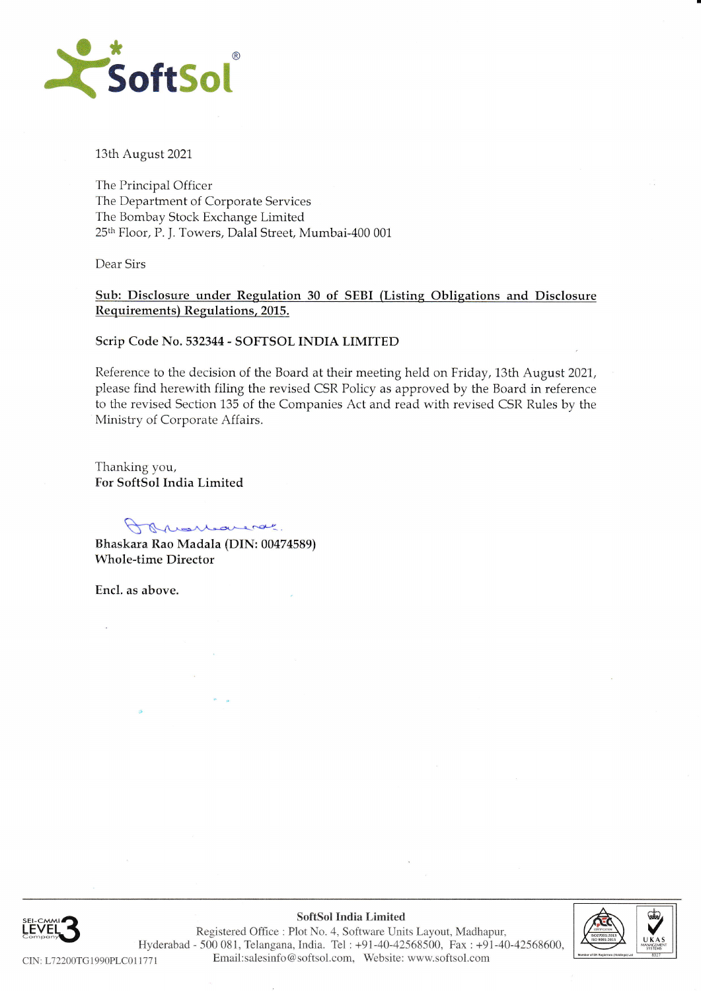

13th August 2021

The Principal Officer The Department of Corporate Services The Bombay Stock Exchange Limited 25th Floor, P. J. Towers, Dalal Street, Mumbai-400 001

Dear Sirs

Sub: Disclosure under Regulation 30 of SEBI (Listing Obligations and Disclosure Requirements) Regulations, 2015.

#### Scrip Code No. 532344 - SOFTSOL INDIA LIMITED

Reference to the decision of the Board at their meeting held on Friday, 13th August 2021, please find herewith filing the revised CSR Policy as approved by the Board in reference to the revised Section 135 of the Companies Act and read with revised CSR Rules by the Ministry of Corporate Affairs.

Thanking you, For SoftSol India Limited

Porumenar

Bhaskara Rao Madala (DIN: 00474589) **Whole-time Director** 

Encl. as above.



SoftSol India Limited Registered Office : Plot No. 4, Software Units Layout, Madhapur, Hyderabad - 500 081, Telangana, India. Tel: +91-40-42568500, Fax: +91-40-42568600, Email:salesinfo@softsol.com, Website: www.softsol.com CIN: L72200TG1990PLC011771

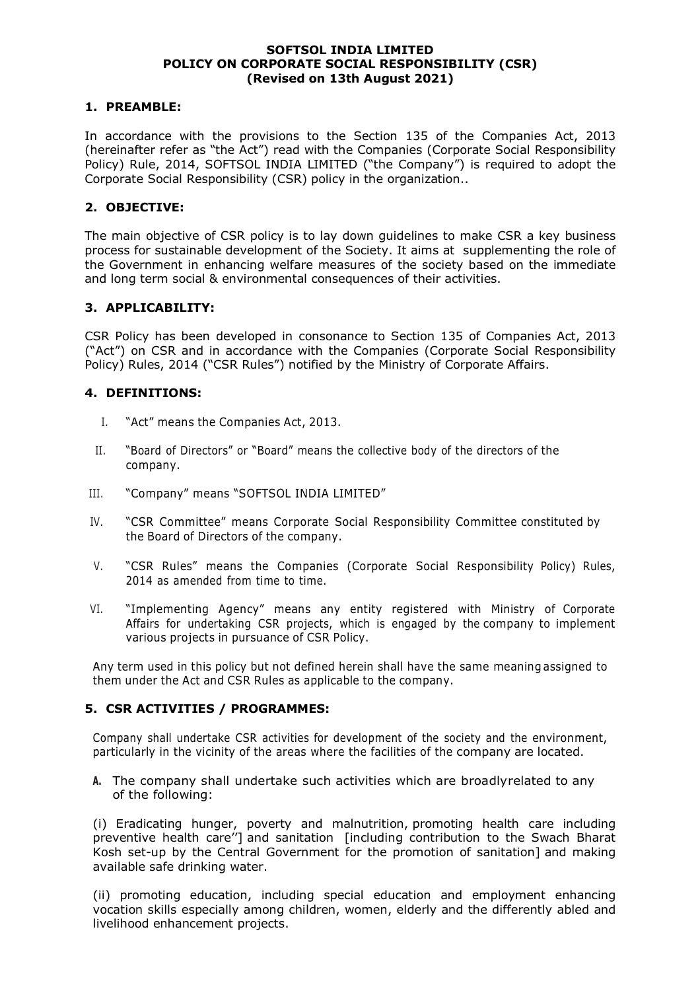#### **SOFTSOL INDIA LIMITED POLICY ON CORPORATE SOCIAL RESPONSIBILITY (CSR) (Revised on 13th August 2021)**

#### **1. PREAMBLE:**

In accordance with the provisions to the Section 135 of the Companies Act, 2013 (hereinafter refer as "the Act") read with the Companies (Corporate Social Responsibility Policy) Rule, 2014, SOFTSOL INDIA LIMITED ("the Company") is required to adopt the Corporate Social Responsibility (CSR) policy in the organization..

## **2. OBJECTIVE:**

The main objective of CSR policy is to lay down guidelines to make CSR a key business process for sustainable development of the Society. It aims at supplementing the role of the Government in enhancing welfare measures of the society based on the immediate and long term social & environmental consequences of their activities.

## **3. APPLICABILITY:**

CSR Policy has been developed in consonance to Section 135 of Companies Act, 2013 ("Act") on CSR and in accordance with the Companies (Corporate Social Responsibility Policy) Rules, 2014 ("CSR Rules") notified by the Ministry of Corporate Affairs.

## **4. DEFINITIONS:**

- I. "Act" means the Companies Act, 2013.
- II. "Board of Directors" or "Board" means the collective body of the directors of the company.
- III. "Company" means "SOFTSOL INDIA LIMITED"
- IV. "CSR Committee" means Corporate Social Responsibility Committee constituted by the Board of Directors of the company.
- V. "CSR Rules" means the Companies (Corporate Social Responsibility Policy) Rules, 2014 as amended from time to time.
- VI. "Implementing Agency" means any entity registered with Ministry of Corporate Affairs for undertaking CSR projects, which is engaged by the company to implement various projects in pursuance of CSR Policy.

Any term used in this policy but not defined herein shall have the same meaning assigned to them under the Act and CSR Rules as applicable to the company.

# **5. CSR ACTIVITIES / PROGRAMMES:**

Company shall undertake CSR activities for development of the society and the environment, particularly in the vicinity of the areas where the facilities of the company are located.

**A.** The company shall undertake such activities which are broadly related to any of the following:

(i) Eradicating hunger, poverty and malnutrition, promoting health care including preventive health care''] and sanitation [including contribution to the Swach Bharat Kosh set-up by the Central Government for the promotion of sanitation] and making available safe drinking water.

(ii) promoting education, including special education and employment enhancing vocation skills especially among children, women, elderly and the differently abled and livelihood enhancement projects.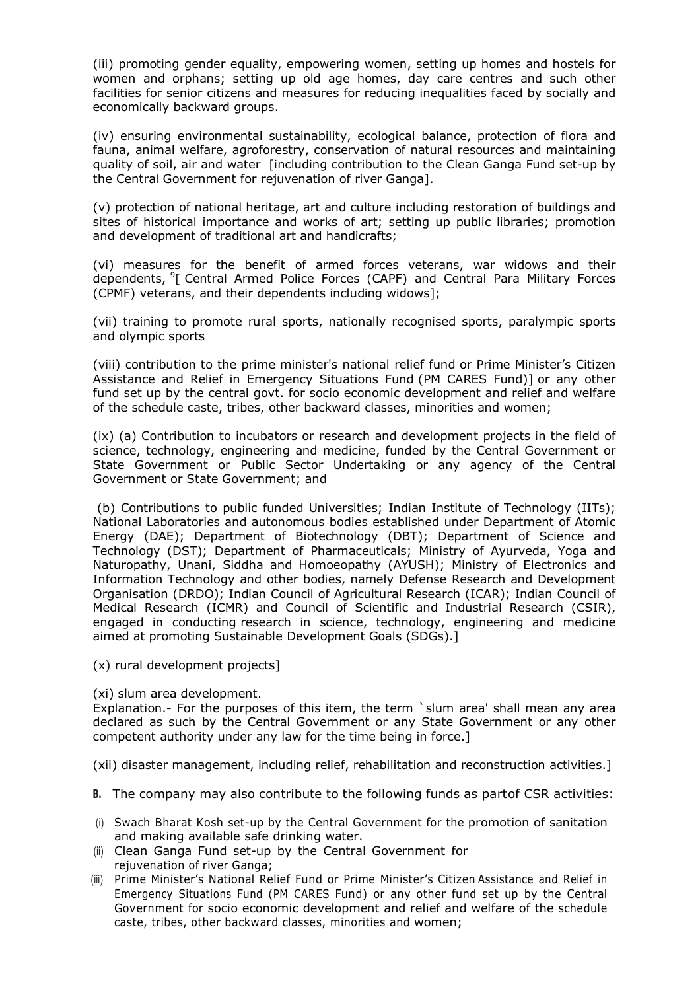(iii) promoting gender equality, empowering women, setting up homes and hostels for women and orphans; setting up old age homes, day care centres and such other facilities for senior citizens and measures for reducing inequalities faced by socially and economically backward groups.

(iv) ensuring environmental sustainability, ecological balance, protection of flora and fauna, animal welfare, agroforestry, conservation of natural resources and maintaining quality of soil, air and water [including contribution to the Clean Ganga Fund set-up by the Central Government for rejuvenation of river Ganga].

(v) protection of national heritage, art and culture including restoration of buildings and sites of historical importance and works of art; setting up public libraries; promotion and development of traditional art and handicrafts;

(vi) measures for the benefit of armed forces veterans, war widows and their dependents, <sup>9</sup>[ Central Armed Police Forces (CAPF) and Central Para Military Forces (CPMF) veterans, and their dependents including widows];

(vii) training to promote rural sports, nationally recognised sports, paralympic sports and olympic sports

(viii) contribution to the prime minister's national relief fund or Prime Minister's Citizen Assistance and Relief in Emergency Situations Fund (PM CARES Fund)] or any other fund set up by the central govt. for socio economic development and relief and welfare of the schedule caste, tribes, other backward classes, minorities and women;

(ix) (a) Contribution to incubators or research and development projects in the field of science, technology, engineering and medicine, funded by the Central Government or State Government or Public Sector Undertaking or any agency of the Central Government or State Government; and

 (b) Contributions to public funded Universities; Indian Institute of Technology (IITs); National Laboratories and autonomous bodies established under Department of Atomic Energy (DAE); Department of Biotechnology (DBT); Department of Science and Technology (DST); Department of Pharmaceuticals; Ministry of Ayurveda, Yoga and Naturopathy, Unani, Siddha and Homoeopathy (AYUSH); Ministry of Electronics and Information Technology and other bodies, namely Defense Research and Development Organisation (DRDO); Indian Council of Agricultural Research (ICAR); Indian Council of Medical Research (ICMR) and Council of Scientific and Industrial Research (CSIR), engaged in conducting research in science, technology, engineering and medicine aimed at promoting Sustainable Development Goals (SDGs).]

(x) rural development projects]

(xi) slum area development.

Explanation.- For the purposes of this item, the term `slum area' shall mean any area declared as such by the Central Government or any State Government or any other competent authority under any law for the time being in force.]

(xii) disaster management, including relief, rehabilitation and reconstruction activities.]

- **B.** The company may also contribute to the following funds as partof CSR activities:
- (i) Swach Bharat Kosh set-up by the Central Government for the promotion of sanitation and making available safe drinking water.
- (ii) Clean Ganga Fund set-up by the Central Government for rejuvenation of river Ganga;
- (iii) Prime Minister's National Relief Fund or Prime Minister's Citizen Assistance and Relief in Emergency Situations Fund (PM CARES Fund) or any other fund set up by the Central Government for socio economic development and relief and welfare of the schedule caste, tribes, other backward classes, minorities and women;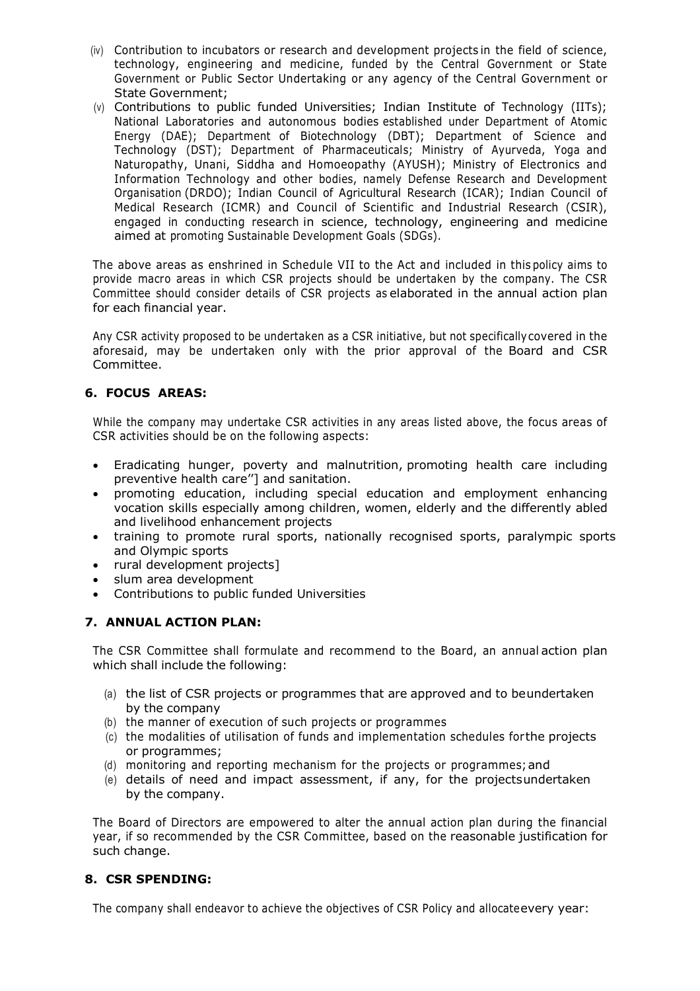- (iv) Contribution to incubators or research and development projects in the field of science, technology, engineering and medicine, funded by the Central Government or State Government or Public Sector Undertaking or any agency of the Central Government or State Government;
- (v) Contributions to public funded Universities; Indian Institute of Technology (IITs); National Laboratories and autonomous bodies established under Department of Atomic Energy (DAE); Department of Biotechnology (DBT); Department of Science and Technology (DST); Department of Pharmaceuticals; Ministry of Ayurveda, Yoga and Naturopathy, Unani, Siddha and Homoeopathy (AYUSH); Ministry of Electronics and Information Technology and other bodies, namely Defense Research and Development Organisation (DRDO); Indian Council of Agricultural Research (ICAR); Indian Council of Medical Research (ICMR) and Council of Scientific and Industrial Research (CSIR), engaged in conducting research in science, technology, engineering and medicine aimed at promoting Sustainable Development Goals (SDGs).

The above areas as enshrined in Schedule VII to the Act and included in this policy aims to provide macro areas in which CSR projects should be undertaken by the company. The CSR Committee should consider details of CSR projects as elaborated in the annual action plan for each financial year.

Any CSR activity proposed to be undertaken as a CSR initiative, but not specifically covered in the aforesaid, may be undertaken only with the prior approval of the Board and CSR Committee.

# **6. FOCUS AREAS:**

While the company may undertake CSR activities in any areas listed above, the focus areas of CSR activities should be on the following aspects:

- Eradicating hunger, poverty and malnutrition, promoting health care including preventive health care''] and sanitation.
- promoting education, including special education and employment enhancing vocation skills especially among children, women, elderly and the differently abled and livelihood enhancement projects
- training to promote rural sports, nationally recognised sports, paralympic sports and Olympic sports
- rural development projects]
- slum area development
- Contributions to public funded Universities

# **7. ANNUAL ACTION PLAN:**

The CSR Committee shall formulate and recommend to the Board, an annual action plan which shall include the following:

- (a) the list of CSR projects or programmes that are approved and to be undertaken by the company
- (b) the manner of execution of such projects or programmes
- (c) the modalities of utilisation of funds and implementation schedules for the projects or programmes;
- (d) monitoring and reporting mechanism for the projects or programmes; and
- (e) details of need and impact assessment, if any, for the projects undertaken by the company.

The Board of Directors are empowered to alter the annual action plan during the financial year, if so recommended by the CSR Committee, based on the reasonable justification for such change.

# **8. CSR SPENDING:**

The company shall endeavor to achieve the objectives of CSR Policy and allocate every year: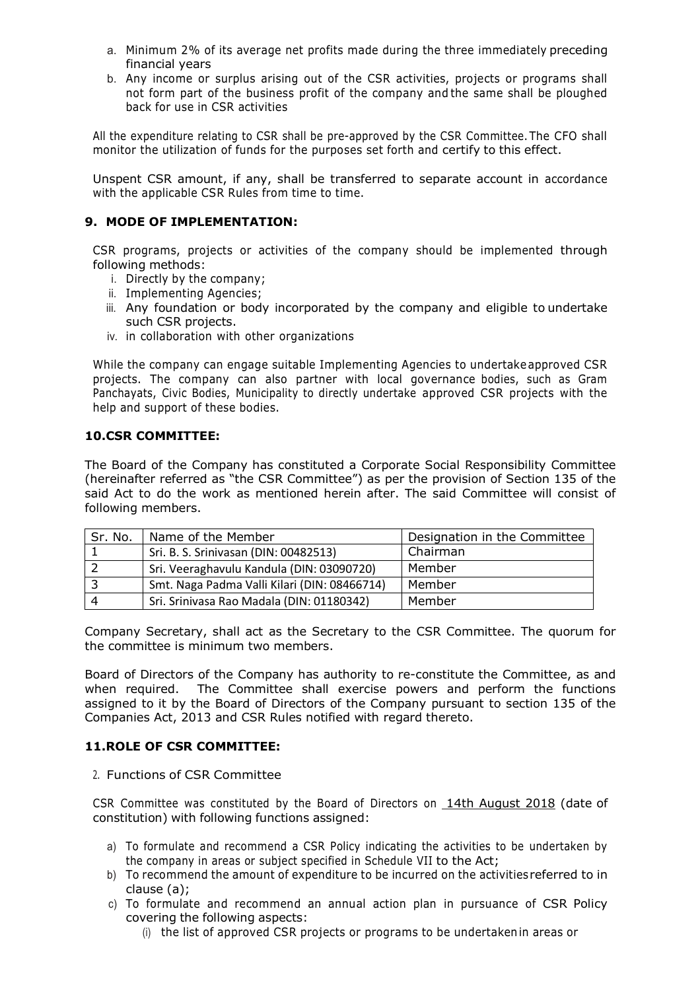- a. Minimum 2% of its average net profits made during the three immediately preceding financial years
- b. Any income or surplus arising out of the CSR activities, projects or programs shall not form part of the business profit of the company and the same shall be ploughed back for use in CSR activities

All the expenditure relating to CSR shall be pre-approved by the CSR Committee. The CFO shall monitor the utilization of funds for the purposes set forth and certify to this effect.

Unspent CSR amount, if any, shall be transferred to separate account in accordance with the applicable CSR Rules from time to time.

## **9. MODE OF IMPLEMENTATION:**

CSR programs, projects or activities of the company should be implemented through following methods:

- i. Directly by the company;
- ii. Implementing Agencies;
- iii. Any foundation or body incorporated by the company and eligible to undertake such CSR projects.
- iv. in collaboration with other organizations

While the company can engage suitable Implementing Agencies to undertake approved CSR projects. The company can also partner with local governance bodies, such as Gram Panchayats, Civic Bodies, Municipality to directly undertake approved CSR projects with the help and support of these bodies.

## **10.CSR COMMITTEE:**

The Board of the Company has constituted a Corporate Social Responsibility Committee (hereinafter referred as "the CSR Committee") as per the provision of Section 135 of the said Act to do the work as mentioned herein after. The said Committee will consist of following members.

| Sr. No. | Name of the Member                           | Designation in the Committee |
|---------|----------------------------------------------|------------------------------|
|         | Sri. B. S. Srinivasan (DIN: 00482513)        | Chairman                     |
|         | Sri. Veeraghavulu Kandula (DIN: 03090720)    | Member                       |
|         | Smt. Naga Padma Valli Kilari (DIN: 08466714) | Member                       |
|         | Sri. Srinivasa Rao Madala (DIN: 01180342)    | Member                       |

Company Secretary, shall act as the Secretary to the CSR Committee. The quorum for the committee is minimum two members.

Board of Directors of the Company has authority to re-constitute the Committee, as and when required. The Committee shall exercise powers and perform the functions assigned to it by the Board of Directors of the Company pursuant to section 135 of the Companies Act, 2013 and CSR Rules notified with regard thereto.

# **11.ROLE OF CSR COMMITTEE:**

#### 2. Functions of CSR Committee

CSR Committee was constituted by the Board of Directors on 14th August 2018 (date of constitution) with following functions assigned:

- a) To formulate and recommend a CSR Policy indicating the activities to be undertaken by the company in areas or subject specified in Schedule VII to the Act;
- b) To recommend the amount of expenditure to be incurred on the activities referred to in clause (a);
- c) To formulate and recommend an annual action plan in pursuance of CSR Policy covering the following aspects:
	- (i) the list of approved CSR projects or programs to be undertaken in areas or